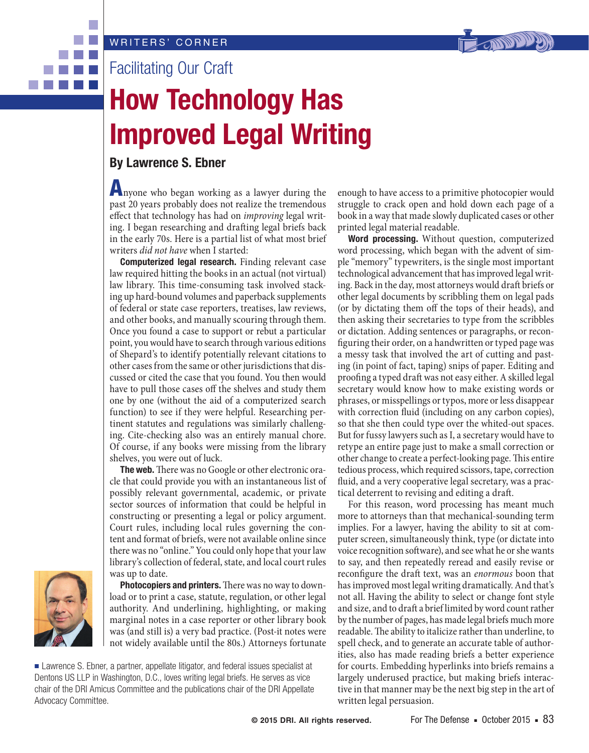

Facilitating Our Craft

## **How Technology Has Improved Legal Writing**

## **By Lawrence S. Ebner**

Anyone who began working as a lawyer during the past 20 years probably does not realize the tremendous effect that technology has had on *improving* legal writing. I began researching and drafting legal briefs back in the early 70s. Here is a partial list of what most brief writers *did not have* when I started:

**Computerized legal research.** Finding relevant case law required hitting the books in an actual (not virtual) law library. This time-consuming task involved stacking up hard-bound volumes and paperback supplements of federal or state case reporters, treatises, law reviews, and other books, and manually scouring through them. Once you found a case to support or rebut a particular point, you would have to search through various editions of Shepard's to identify potentially relevant citations to other cases from the same or other jurisdictions that discussed or cited the case that you found. You then would have to pull those cases off the shelves and study them one by one (without the aid of a computerized search function) to see if they were helpful. Researching pertinent statutes and regulations was similarly challenging. Cite-checking also was an entirely manual chore. Of course, if any books were missing from the library shelves, you were out of luck.

**The web.** There was no Google or other electronic oracle that could provide you with an instantaneous list of possibly relevant governmental, academic, or private sector sources of information that could be helpful in constructing or presenting a legal or policy argument. Court rules, including local rules governing the content and format of briefs, were not available online since there was no "online." You could only hope that your law library's collection of federal, state, and local court rules was up to date.



. . .

**Photocopiers and printers.**There was no way to download or to print a case, statute, regulation, or other legal authority. And underlining, highlighting, or making marginal notes in a case reporter or other library book was (and still is) a very bad practice. (Post-it notes were not widely available until the 80s.) Attorneys fortunate

■ Lawrence S. Ebner, a partner, appellate litigator, and federal issues specialist at Dentons US LLP in Washington, D.C., loves writing legal briefs. He serves as vice chair of the DRI Amicus Committee and the publications chair of the DRI Appellate Advocacy Committee.

enough to have access to a primitive photocopier would struggle to crack open and hold down each page of a book in a way that made slowly duplicated cases or other printed legal material readable.

**Word processing.** Without question, computerized word processing, which began with the advent of simple "memory" typewriters, is the single most important technological advancement that has improved legal writing. Back in the day, most attorneys would draft briefs or other legal documents by scribbling them on legal pads (or by dictating them off the tops of their heads), and then asking their secretaries to type from the scribbles or dictation. Adding sentences or paragraphs, or reconfiguring their order, on a handwritten or typed page was a messy task that involved the art of cutting and pasting (in point of fact, taping) snips of paper. Editing and proofing a typed draft was not easy either. A skilled legal secretary would know how to make existing words or phrases, or misspellings or typos, more or less disappear with correction fluid (including on any carbon copies), so that she then could type over the whited-out spaces. But for fussy lawyers such as I, a secretary would have to retype an entire page just to make a small correction or other change to create a perfect-looking page. This entire tedious process, which required scissors, tape, correction fluid, and a very cooperative legal secretary, was a practical deterrent to revising and editing a draft.

For this reason, word processing has meant much more to attorneys than that mechanical-sounding term implies. For a lawyer, having the ability to sit at computer screen, simultaneously think, type (or dictate into voice recognition software), and see what he or she wants to say, and then repeatedly reread and easily revise or reconfigure the draft text, was an *enormous* boon that has improved most legal writing dramatically. And that's not all. Having the ability to select or change font style and size, and to draft a brief limited by word count rather by the number of pages, has made legal briefs much more readable. The ability to italicize rather than underline, to spell check, and to generate an accurate table of authorities, also has made reading briefs a better experience for courts. Embedding hyperlinks into briefs remains a largely underused practice, but making briefs interactive in that manner may be the next big step in the art of written legal persuasion.